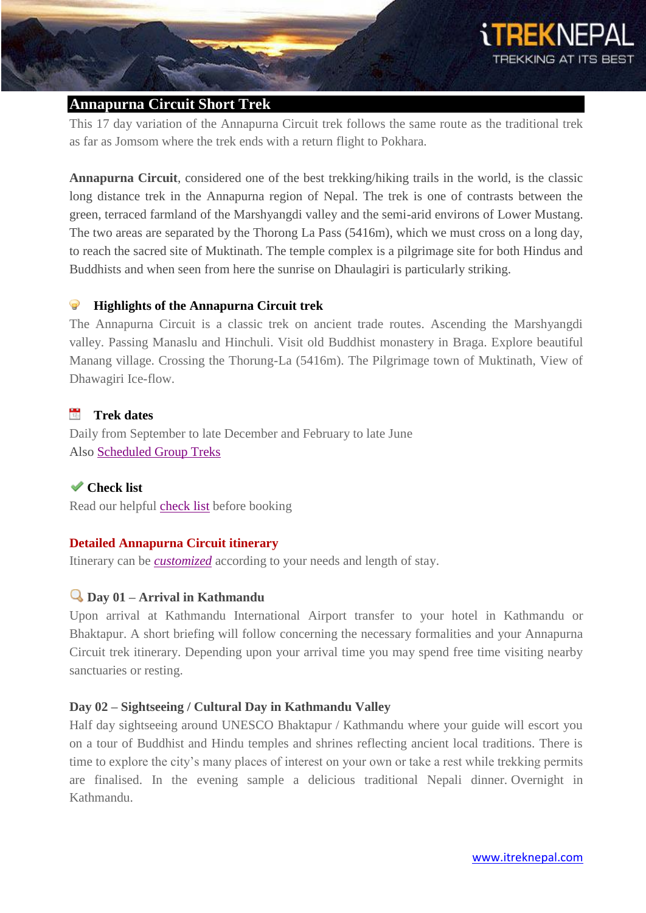

# **Annapurna Circuit Short Trek**

This 17 day variation of the Annapurna Circuit trek follows the same route as the traditional trek as far as Jomsom where the trek ends with a return flight to Pokhara.

**Annapurna Circuit**, considered one of the best trekking/hiking trails in the world, is the classic long distance trek in the Annapurna region of Nepal. The trek is one of contrasts between the green, terraced farmland of the Marshyangdi valley and the semi-arid environs of Lower Mustang. The two areas are separated by the Thorong La Pass (5416m), which we must cross on a long day, to reach the sacred site of Muktinath. The temple complex is a pilgrimage site for both Hindus and Buddhists and when seen from here the sunrise on Dhaulagiri is particularly striking.

#### 0 **Highlights of the Annapurna Circuit trek**

The Annapurna Circuit is a classic trek on ancient trade routes. Ascending the Marshyangdi valley. Passing Manaslu and Hinchuli. Visit old Buddhist monastery in Braga. Explore beautiful Manang village. Crossing the Thorung-La (5416m). The Pilgrimage town of Muktinath, View of Dhawagiri Ice-flow.

#### $17.5$ **Trek dates**

Daily from September to late December and February to late June Als[o](http://itreknepal.com/pop-up/scheduled-group-treks.php) [Scheduled Group Treks](http://itreknepal.com/pop-up/scheduled-group-treks.php)

**Check list** Read our helpful [check list](http://itreknepal.com/check-list.php) before booking

# **Detailed Annapurna Circuit itinerary**

Itinerary can be *[customized](http://itreknepal.com/customized-trekking.php)* according to your needs and length of stay.

# **Day 01 – Arrival in Kathmandu**

Upon arrival at Kathmandu International Airport transfer to your hotel in Kathmandu or Bhaktapur. A short briefing will follow concerning the necessary formalities and your Annapurna Circuit trek itinerary. Depending upon your arrival time you may spend free time visiting nearby sanctuaries or resting.

# **Day 02 – Sightseeing / Cultural Day in Kathmandu Valley**

Half day sightseeing around UNESCO Bhaktapur / Kathmandu where your guide will escort you on a tour of Buddhist and Hindu temples and shrines reflecting ancient local traditions. There is time to explore the city's many places of interest on your own or take a rest while trekking permits are finalised. In the evening sample a delicious traditional Nepali dinner. Overnight in Kathmandu.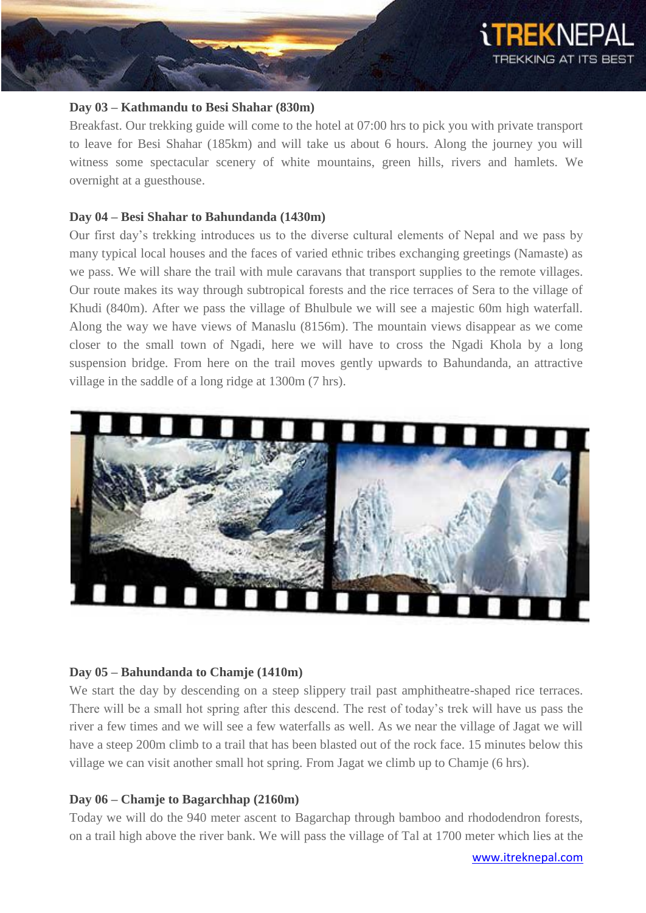

#### **Day 03 – Kathmandu to Besi Shahar (830m)**

Breakfast. Our trekking guide will come to the hotel at 07:00 hrs to pick you with private transport to leave for Besi Shahar (185km) and will take us about 6 hours. Along the journey you will witness some spectacular scenery of white mountains, green hills, rivers and hamlets. We overnight at a guesthouse.

#### **Day 04 – Besi Shahar to Bahundanda (1430m)**

Our first day's trekking introduces us to the diverse cultural elements of Nepal and we pass by many typical local houses and the faces of varied ethnic tribes exchanging greetings (Namaste) as we pass. We will share the trail with mule caravans that transport supplies to the remote villages. Our route makes its way through subtropical forests and the rice terraces of Sera to the village of Khudi (840m). After we pass the village of Bhulbule we will see a majestic 60m high waterfall. Along the way we have views of Manaslu (8156m). The mountain views disappear as we come closer to the small town of Ngadi, here we will have to cross the Ngadi Khola by a long suspension bridge. From here on the trail moves gently upwards to Bahundanda, an attractive village in the saddle of a long ridge at 1300m (7 hrs).



## **Day 05 – Bahundanda to Chamje (1410m)**

We start the day by descending on a steep slippery trail past amphitheatre-shaped rice terraces. There will be a small hot spring after this descend. The rest of today's trek will have us pass the river a few times and we will see a few waterfalls as well. As we near the village of Jagat we will have a steep 200m climb to a trail that has been blasted out of the rock face. 15 minutes below this village we can visit another small hot spring. From Jagat we climb up to Chamje (6 hrs).

## **Day 06 – Chamje to Bagarchhap (2160m)**

Today we will do the 940 meter ascent to Bagarchap through bamboo and rhododendron forests, on a trail high above the river bank. We will pass the village of Tal at 1700 meter which lies at the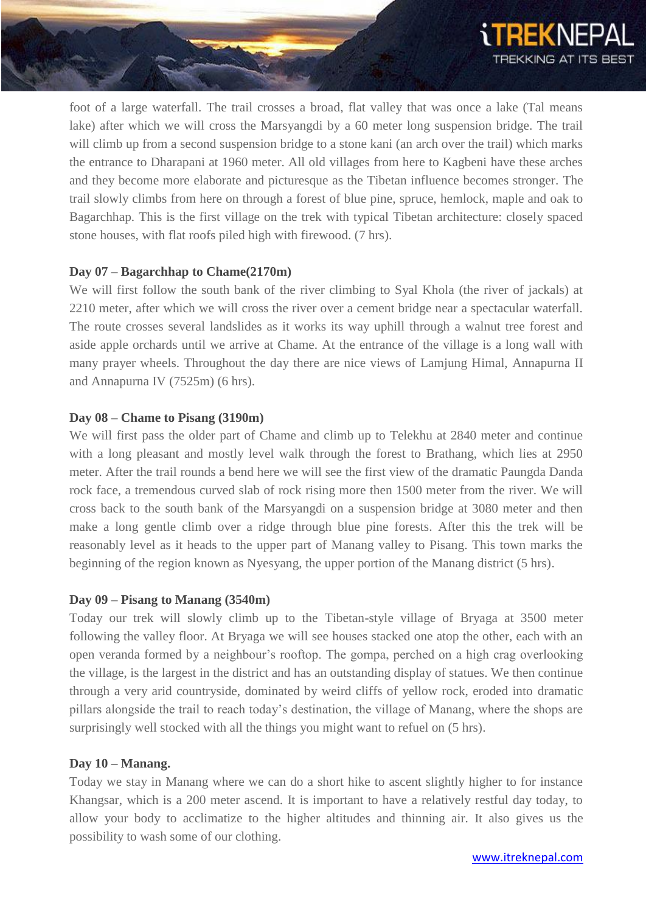

foot of a large waterfall. The trail crosses a broad, flat valley that was once a lake (Tal means lake) after which we will cross the Marsyangdi by a 60 meter long suspension bridge. The trail will climb up from a second suspension bridge to a stone kani (an arch over the trail) which marks the entrance to Dharapani at 1960 meter. All old villages from here to Kagbeni have these arches and they become more elaborate and picturesque as the Tibetan influence becomes stronger. The trail slowly climbs from here on through a forest of blue pine, spruce, hemlock, maple and oak to Bagarchhap. This is the first village on the trek with typical Tibetan architecture: closely spaced stone houses, with flat roofs piled high with firewood. (7 hrs).

## **Day 07 – Bagarchhap to Chame(2170m)**

We will first follow the south bank of the river climbing to Syal Khola (the river of jackals) at 2210 meter, after which we will cross the river over a cement bridge near a spectacular waterfall. The route crosses several landslides as it works its way uphill through a walnut tree forest and aside apple orchards until we arrive at Chame. At the entrance of the village is a long wall with many prayer wheels. Throughout the day there are nice views of Lamjung Himal, Annapurna II and Annapurna IV (7525m) (6 hrs).

## **Day 08 – Chame to Pisang (3190m)**

We will first pass the older part of Chame and climb up to Telekhu at 2840 meter and continue with a long pleasant and mostly level walk through the forest to Brathang, which lies at 2950 meter. After the trail rounds a bend here we will see the first view of the dramatic Paungda Danda rock face, a tremendous curved slab of rock rising more then 1500 meter from the river. We will cross back to the south bank of the Marsyangdi on a suspension bridge at 3080 meter and then make a long gentle climb over a ridge through blue pine forests. After this the trek will be reasonably level as it heads to the upper part of Manang valley to Pisang. This town marks the beginning of the region known as Nyesyang, the upper portion of the Manang district (5 hrs).

## **Day 09 – Pisang to Manang (3540m)**

Today our trek will slowly climb up to the Tibetan-style village of Bryaga at 3500 meter following the valley floor. At Bryaga we will see houses stacked one atop the other, each with an open veranda formed by a neighbour's rooftop. The gompa, perched on a high crag overlooking the village, is the largest in the district and has an outstanding display of statues. We then continue through a very arid countryside, dominated by weird cliffs of yellow rock, eroded into dramatic pillars alongside the trail to reach today's destination, the village of Manang, where the shops are surprisingly well stocked with all the things you might want to refuel on (5 hrs).

## **Day 10 – Manang.**

Today we stay in Manang where we can do a short hike to ascent slightly higher to for instance Khangsar, which is a 200 meter ascend. It is important to have a relatively restful day today, to allow your body to acclimatize to the higher altitudes and thinning air. It also gives us the possibility to wash some of our clothing.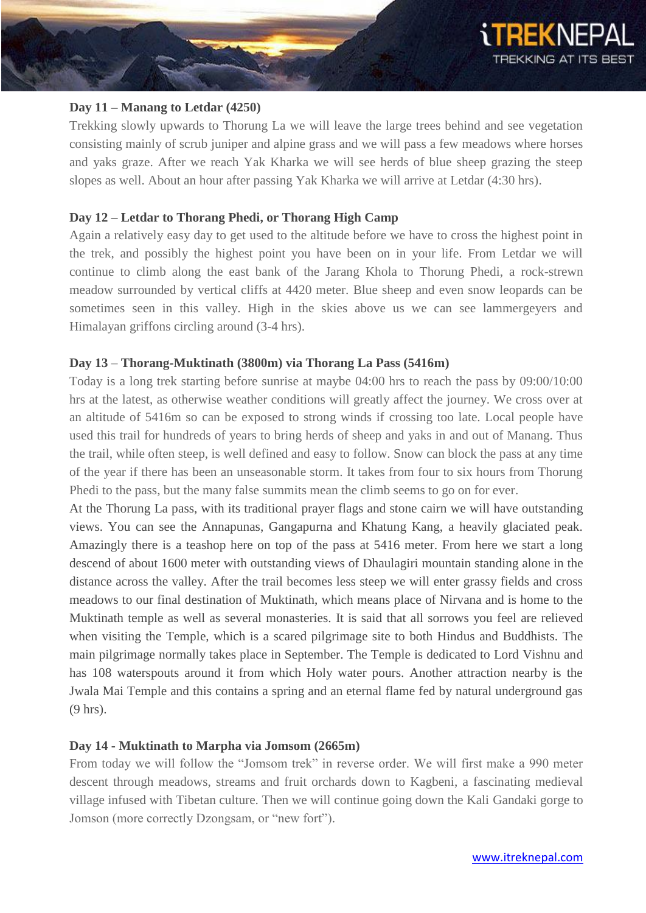

## **Day 11 – Manang to Letdar (4250)**

Trekking slowly upwards to Thorung La we will leave the large trees behind and see vegetation consisting mainly of scrub juniper and alpine grass and we will pass a few meadows where horses and yaks graze. After we reach Yak Kharka we will see herds of blue sheep grazing the steep slopes as well. About an hour after passing Yak Kharka we will arrive at Letdar (4:30 hrs).

## **Day 12 – Letdar to Thorang Phedi, or Thorang High Camp**

Again a relatively easy day to get used to the altitude before we have to cross the highest point in the trek, and possibly the highest point you have been on in your life. From Letdar we will continue to climb along the east bank of the Jarang Khola to Thorung Phedi, a rock-strewn meadow surrounded by vertical cliffs at 4420 meter. Blue sheep and even snow leopards can be sometimes seen in this valley. High in the skies above us we can see lammergeyers and Himalayan griffons circling around (3-4 hrs).

## **Day 13** – **Thorang-Muktinath (3800m) via Thorang La Pass (5416m)**

Today is a long trek starting before sunrise at maybe 04:00 hrs to reach the pass by 09:00/10:00 hrs at the latest, as otherwise weather conditions will greatly affect the journey. We cross over at an altitude of 5416m so can be exposed to strong winds if crossing too late. Local people have used this trail for hundreds of years to bring herds of sheep and yaks in and out of Manang. Thus the trail, while often steep, is well defined and easy to follow. Snow can block the pass at any time of the year if there has been an unseasonable storm. It takes from four to six hours from Thorung Phedi to the pass, but the many false summits mean the climb seems to go on for ever.

At the Thorung La pass, with its traditional prayer flags and stone cairn we will have outstanding views. You can see the Annapunas, Gangapurna and Khatung Kang, a heavily glaciated peak. Amazingly there is a teashop here on top of the pass at 5416 meter. From here we start a long descend of about 1600 meter with outstanding views of Dhaulagiri mountain standing alone in the distance across the valley. After the trail becomes less steep we will enter grassy fields and cross meadows to our final destination of Muktinath, which means place of Nirvana and is home to the Muktinath temple as well as several monasteries. It is said that all sorrows you feel are relieved when visiting the Temple, which is a scared pilgrimage site to both Hindus and Buddhists. The main pilgrimage normally takes place in September. The Temple is dedicated to Lord Vishnu and has 108 waterspouts around it from which Holy water pours. Another attraction nearby is the Jwala Mai Temple and this contains a spring and an eternal flame fed by natural underground gas (9 hrs).

## **Day 14 - Muktinath to Marpha via Jomsom (2665m)**

From today we will follow the "Jomsom trek" in reverse order. We will first make a 990 meter descent through meadows, streams and fruit orchards down to Kagbeni, a fascinating medieval village infused with Tibetan culture. Then we will continue going down the Kali Gandaki gorge to Jomson (more correctly Dzongsam, or "new fort").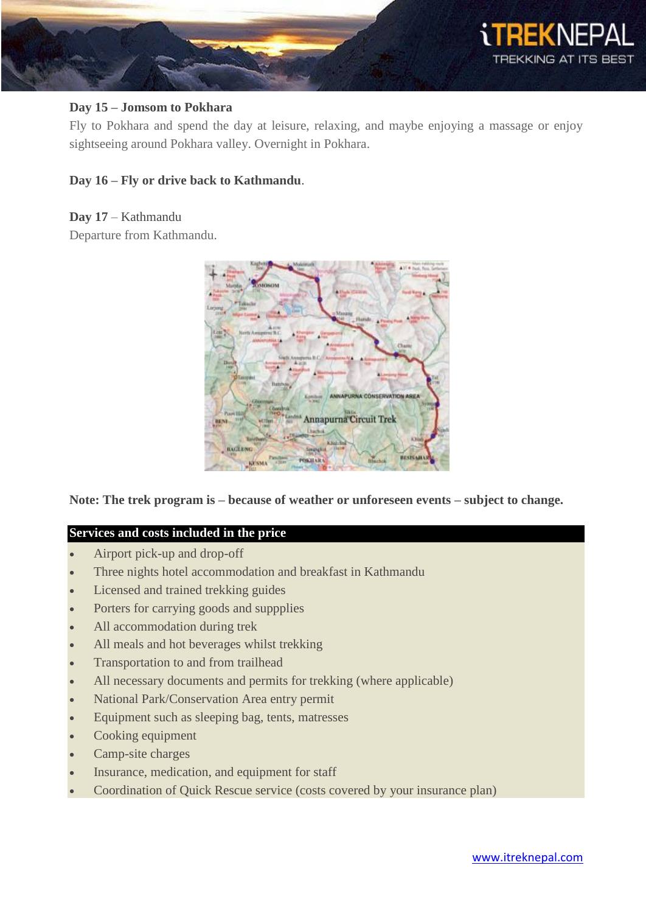

# **Day 15 – Jomsom to Pokhara**

Fly to Pokhara and spend the day at leisure, relaxing, and maybe enjoying a massage or enjoy sightseeing around Pokhara valley. Overnight in Pokhara.

# **Day 16 – Fly or drive back to Kathmandu**.

**Day 17** – Kathmandu

Departure from Kathmandu.



**Note: The trek program is – because of weather or unforeseen events – subject to change.**

# **Services and costs included in the price**

- Airport pick-up and drop-off
- Three nights hotel accommodation and breakfast in Kathmandu
- Licensed and trained trekking guides
- Porters for carrying goods and suppplies
- All accommodation during trek
- All meals and hot beverages whilst trekking
- Transportation to and from trailhead
- All necessary documents and permits for trekking (where applicable)
- National Park/Conservation Area entry permit
- Equipment such as sleeping bag, tents, matresses
- Cooking equipment
- Camp-site charges
- Insurance, medication, and equipment for staff
- Coordination of Quick Rescue service (costs covered by your insurance plan)